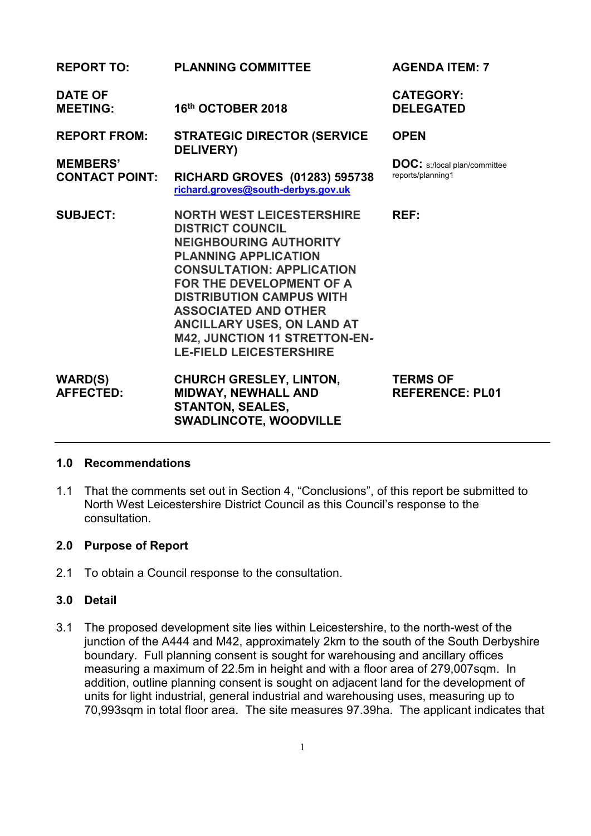| <b>REPORT TO:</b>                                               | <b>PLANNING COMMITTEE</b>                                                                                                                                                                                                                                                                                                                                             | <b>AGENDA ITEM: 7</b>                                                   |
|-----------------------------------------------------------------|-----------------------------------------------------------------------------------------------------------------------------------------------------------------------------------------------------------------------------------------------------------------------------------------------------------------------------------------------------------------------|-------------------------------------------------------------------------|
| <b>DATE OF</b><br><b>MEETING:</b>                               | 16th OCTOBER 2018                                                                                                                                                                                                                                                                                                                                                     | <b>CATEGORY:</b><br><b>DELEGATED</b>                                    |
| <b>REPORT FROM:</b><br><b>MEMBERS'</b><br><b>CONTACT POINT:</b> | <b>STRATEGIC DIRECTOR (SERVICE</b><br><b>DELIVERY</b> )<br><b>RICHARD GROVES (01283) 595738</b><br>richard.groves@south-derbys.gov.uk                                                                                                                                                                                                                                 | <b>OPEN</b><br><b>DOC:</b> s:/local plan/committee<br>reports/planning1 |
| <b>SUBJECT:</b>                                                 | <b>NORTH WEST LEICESTERSHIRE</b><br><b>DISTRICT COUNCIL</b><br><b>NEIGHBOURING AUTHORITY</b><br><b>PLANNING APPLICATION</b><br><b>CONSULTATION: APPLICATION</b><br>FOR THE DEVELOPMENT OF A<br><b>DISTRIBUTION CAMPUS WITH</b><br><b>ASSOCIATED AND OTHER</b><br><b>ANCILLARY USES, ON LAND AT</b><br>M42, JUNCTION 11 STRETTON-EN-<br><b>LE-FIELD LEICESTERSHIRE</b> | REF:                                                                    |
| <b>WARD(S)</b><br><b>AFFECTED:</b>                              | <b>CHURCH GRESLEY, LINTON,</b><br>MIDWAY, NEWHALL AND<br><b>STANTON, SEALES,</b><br><b>SWADLINCOTE, WOODVILLE</b>                                                                                                                                                                                                                                                     | <b>TERMS OF</b><br><b>REFERENCE: PL01</b>                               |

#### **1.0 Recommendations**

1.1 That the comments set out in Section 4, "Conclusions", of this report be submitted to North West Leicestershire District Council as this Council's response to the consultation.

## **2.0 Purpose of Report**

2.1 To obtain a Council response to the consultation.

#### **3.0 Detail**

3.1 The proposed development site lies within Leicestershire, to the north-west of the junction of the A444 and M42, approximately 2km to the south of the South Derbyshire boundary. Full planning consent is sought for warehousing and ancillary offices measuring a maximum of 22.5m in height and with a floor area of 279,007sqm. In addition, outline planning consent is sought on adjacent land for the development of units for light industrial, general industrial and warehousing uses, measuring up to 70,993sqm in total floor area. The site measures 97.39ha. The applicant indicates that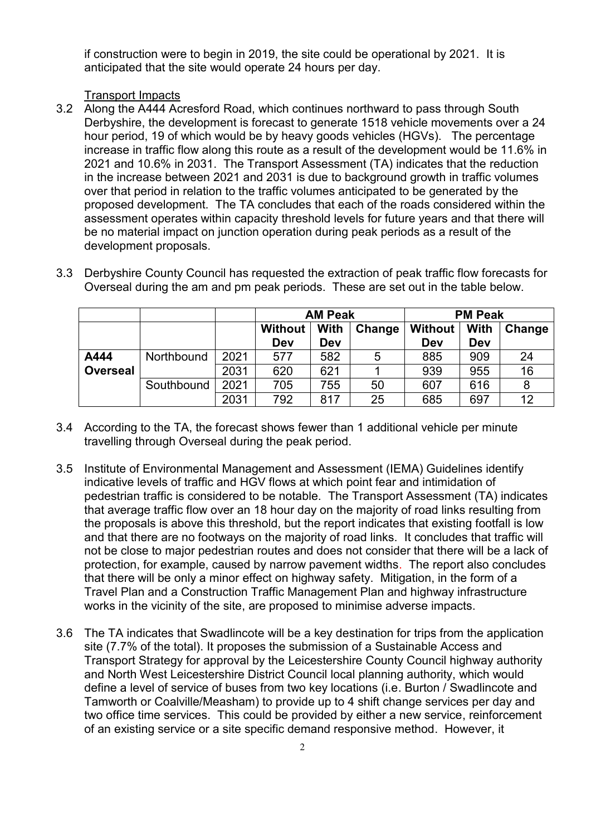if construction were to begin in 2019, the site could be operational by 2021. It is anticipated that the site would operate 24 hours per day.

### Transport Impacts

3.2 Along the A444 Acresford Road, which continues northward to pass through South Derbyshire, the development is forecast to generate 1518 vehicle movements over a 24 hour period, 19 of which would be by heavy goods vehicles (HGVs). The percentage increase in traffic flow along this route as a result of the development would be 11.6% in 2021 and 10.6% in 2031. The Transport Assessment (TA) indicates that the reduction in the increase between 2021 and 2031 is due to background growth in traffic volumes over that period in relation to the traffic volumes anticipated to be generated by the proposed development. The TA concludes that each of the roads considered within the assessment operates within capacity threshold levels for future years and that there will be no material impact on junction operation during peak periods as a result of the development proposals.

|  | Overseal during the am and pm peak periods. These are set out in the table below. |  |                |                                                   |  |  |
|--|-----------------------------------------------------------------------------------|--|----------------|---------------------------------------------------|--|--|
|  |                                                                                   |  | <b>AM Peak</b> | <b>PM Peak</b>                                    |  |  |
|  |                                                                                   |  |                | Without   With   Change   Without   With   Change |  |  |

3.3 Derbyshire County Council has requested the extraction of peak traffic flow forecasts for

|                 |            |      | Dev | Dev |    | Dev | Dev |    |
|-----------------|------------|------|-----|-----|----|-----|-----|----|
| A444            | Northbound | 2021 | 577 | 582 | 5  | 885 | 909 | 24 |
| <b>Overseal</b> |            | 2031 | 620 | 621 |    | 939 | 955 | 16 |
|                 | Southbound | 2021 | 705 | 755 | 50 | 607 | 616 |    |
|                 |            | 2031 | 792 | 817 | 25 | 685 | 697 | 12 |
|                 |            |      |     |     |    |     |     |    |

3.4 According to the TA, the forecast shows fewer than 1 additional vehicle per minute travelling through Overseal during the peak period.

- 3.5 Institute of Environmental Management and Assessment (IEMA) Guidelines identify indicative levels of traffic and HGV flows at which point fear and intimidation of pedestrian traffic is considered to be notable. The Transport Assessment (TA) indicates that average traffic flow over an 18 hour day on the majority of road links resulting from the proposals is above this threshold, but the report indicates that existing footfall is low and that there are no footways on the majority of road links. It concludes that traffic will not be close to major pedestrian routes and does not consider that there will be a lack of protection, for example, caused by narrow pavement widths. The report also concludes that there will be only a minor effect on highway safety. Mitigation, in the form of a Travel Plan and a Construction Traffic Management Plan and highway infrastructure works in the vicinity of the site, are proposed to minimise adverse impacts.
- 3.6 The TA indicates that Swadlincote will be a key destination for trips from the application site (7.7% of the total). It proposes the submission of a Sustainable Access and Transport Strategy for approval by the Leicestershire County Council highway authority and North West Leicestershire District Council local planning authority, which would define a level of service of buses from two key locations (i.e. Burton / Swadlincote and Tamworth or Coalville/Measham) to provide up to 4 shift change services per day and two office time services. This could be provided by either a new service, reinforcement of an existing service or a site specific demand responsive method. However, it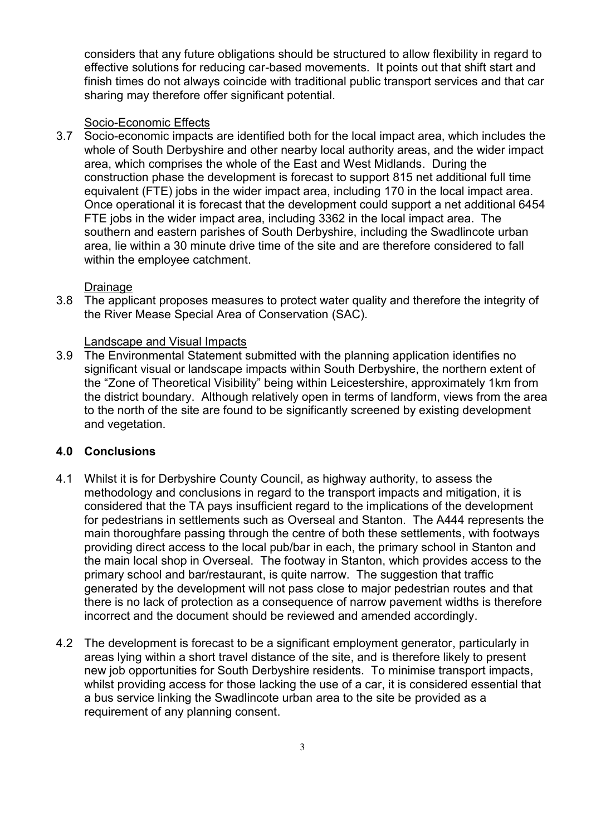considers that any future obligations should be structured to allow flexibility in regard to effective solutions for reducing car-based movements. It points out that shift start and finish times do not always coincide with traditional public transport services and that car sharing may therefore offer significant potential.

### Socio-Economic Effects

3.7 Socio-economic impacts are identified both for the local impact area, which includes the whole of South Derbyshire and other nearby local authority areas, and the wider impact area, which comprises the whole of the East and West Midlands. During the construction phase the development is forecast to support 815 net additional full time equivalent (FTE) jobs in the wider impact area, including 170 in the local impact area. Once operational it is forecast that the development could support a net additional 6454 FTE jobs in the wider impact area, including 3362 in the local impact area. The southern and eastern parishes of South Derbyshire, including the Swadlincote urban area, lie within a 30 minute drive time of the site and are therefore considered to fall within the employee catchment.

#### Drainage

3.8 The applicant proposes measures to protect water quality and therefore the integrity of the River Mease Special Area of Conservation (SAC).

#### Landscape and Visual Impacts

3.9 The Environmental Statement submitted with the planning application identifies no significant visual or landscape impacts within South Derbyshire, the northern extent of the "Zone of Theoretical Visibility" being within Leicestershire, approximately 1km from the district boundary. Although relatively open in terms of landform, views from the area to the north of the site are found to be significantly screened by existing development and vegetation.

## **4.0 Conclusions**

- 4.1 Whilst it is for Derbyshire County Council, as highway authority, to assess the methodology and conclusions in regard to the transport impacts and mitigation, it is considered that the TA pays insufficient regard to the implications of the development for pedestrians in settlements such as Overseal and Stanton. The A444 represents the main thoroughfare passing through the centre of both these settlements, with footways providing direct access to the local pub/bar in each, the primary school in Stanton and the main local shop in Overseal. The footway in Stanton, which provides access to the primary school and bar/restaurant, is quite narrow. The suggestion that traffic generated by the development will not pass close to major pedestrian routes and that there is no lack of protection as a consequence of narrow pavement widths is therefore incorrect and the document should be reviewed and amended accordingly.
- 4.2 The development is forecast to be a significant employment generator, particularly in areas lying within a short travel distance of the site, and is therefore likely to present new job opportunities for South Derbyshire residents. To minimise transport impacts, whilst providing access for those lacking the use of a car, it is considered essential that a bus service linking the Swadlincote urban area to the site be provided as a requirement of any planning consent.